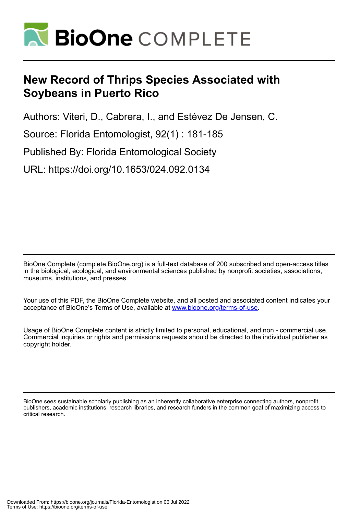

# **New Record of Thrips Species Associated with Soybeans in Puerto Rico**

Authors: Viteri, D., Cabrera, I., and Estévez De Jensen, C.

Source: Florida Entomologist, 92(1) : 181-185

Published By: Florida Entomological Society

URL: https://doi.org/10.1653/024.092.0134

BioOne Complete (complete.BioOne.org) is a full-text database of 200 subscribed and open-access titles in the biological, ecological, and environmental sciences published by nonprofit societies, associations, museums, institutions, and presses.

Your use of this PDF, the BioOne Complete website, and all posted and associated content indicates your acceptance of BioOne's Terms of Use, available at www.bioone.org/terms-of-use.

Usage of BioOne Complete content is strictly limited to personal, educational, and non - commercial use. Commercial inquiries or rights and permissions requests should be directed to the individual publisher as copyright holder.

BioOne sees sustainable scholarly publishing as an inherently collaborative enterprise connecting authors, nonprofit publishers, academic institutions, research libraries, and research funders in the common goal of maximizing access to critical research.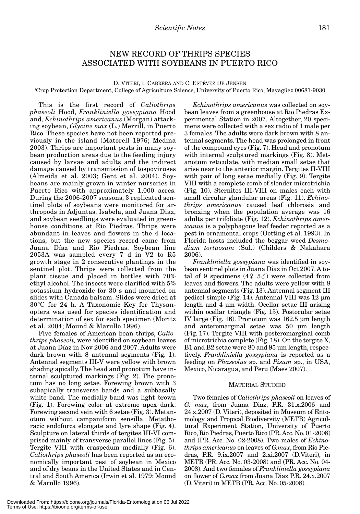## NEW RECORD OF THRIPS SPECIES ASSOCIATED WITH SOYBEANS IN PUERTO RICO

D. VITERI, I. CABRERA AND C. ESTÉVEZ DE JENSEN

1 Crop Protection Department, College of Agriculture Science, University of Puerto Rico, Mayagüez 00681-9030

This is the first record of *Caliothrips phaseoli* Hood, *Frankliniella gossypiana* Hood and, *Echinothrips americanus* (Morgan) attacking soybean, *Glycine max* (L.) Merrill, in Puerto Rico. These species have not been reported previously in the island (Matorell 1976; Medina 2003). Thrips are important pests in many soybean production areas due to the feeding injury caused by larvae and adults and the indirect damage caused by transmission of tospoviruses (Almeida et al. 2003; Gent et al. 2004). Soybeans are mainly grown in winter nurseries in Puerto Rico with approximately 1,000 acres. During the 2006-2007 seasons, 3 replicated sentinel plots of soybeans were monitored for arthropods in Adjuntas, Isabela, and Juana Diaz, and soybean seedlings were evaluated in greenhouse conditions at Rio Piedras. Thrips were abundant in leaves and flowers in the 4 locations, but the new species record came from Juana Díaz and Rio Piedras. Soybean line 2053A was sampled every 7 d in V2 to R5 growth stage in 2 consecutive plantings in the sentinel plot. Thrips were collected from the plant tissue and placed in bottles with 70% ethyl alcohol. The insects were clarified with 5% potassium hydroxide for 30 s and mounted on slides with Canada balsam. Slides were dried at 30°C for 24 h. A Taxonomic Key for Thysanoptera was used for species identification and determination of sex for each specimen (Moritz et al. 2004; Mound & Marullo 1996).

Five females of American bean thrips, *Caliothrips phaseoli,* were identified on soybean leaves at Juana Díaz in Nov 2006 and 2007. Adults were dark brown with 8 antennal segments (Fig. 1). Antennal segments III-V were yellow with brown shading apically. The head and pronotum have internal sculptured markings (Fig. 2). The pronotum has no long setae. Forewing brown with 3 subapically transverse bands and a subbasally white band. The medially band was light brown (Fig. 1). Forewing color at extreme apex dark. Forewing second vein with 6 setae (Fig. 3). Metanotum without campaniform sensilla. Metathoracic endofurca elongate and lyre shape (Fig. 4). Sculpture on lateral thirds of tergites III-VI comprised mainly of transverse parallel lines (Fig. 5). Tergite VIII with craspedum medially (Fig. 6). *Caliothrips phaseoli* has been reported as an economically important pest of soybean in Mexico and of dry beans in the United States and in Central and South America (Irwin et al. 1979; Mound & Marullo 1996).

*Echinothrips americanus* was collected on soybean leaves from a greenhouse at Rio Piedras Experimental Station in 2007. Altogether, 20 specimens were collected with a sex radio of 1 male per 3 females. The adults were dark brown with 8 antennal segments. The head was prolonged in front of the compound eyes (Fig. 7). Head and pronotum with internal sculptured markings (Fig. 8). Metanotum reticulate, with median small setae that arise near to the anterior margin. Tergites II-VIII with pair of long setae medially (Fig. 9). Tergite VIII with a complete comb of slender microtrichia (Fig. 10). Sternites III-VIII on males each with small circular glandular areas (Fig. 11). *Echinothrips americanus* caused leaf chlorosis and bronzing when the population average was 16 adults per trifoliate (Fig. 12). *Echinothrips americanus* is a polyphagous leaf feeder reported as a pest in ornamental crops (Oetting et al. 1993). In Florida hosts included the beggar weed *Desmodium tortuosum* (Sul.) (Childers & Nakahara 2006).

*Frankliniella gossypiana* was identified in soybean sentinel plots in Juana Diaz in Oct 2007. A total of 9 specimens  $(4253)$  were collected from leaves and flowers. The adults were yellow with 8 antennal segments (Fig. 13). Antennal segment III pedicel simple (Fig. 14). Antennal VIII was 12 μm length and 4 μm width. Ocellar setae III arising within ocellar triangle (Fig. 15). Postocular setae IV large (Fig. 16). Pronotum was 162.5 μm length and anteromarginal setae was 50 μm length (Fig. 17). Tergite VIII with posteromarginal comb of microtrichia complete (Fig. 18). On the tergite X, B1 and B2 setae were 80 and 95 μm length, respectively. *Frankliniella gossypiana* is reported as a feeding on *Phaseolus* sp. and *Pisum* sp., in USA, Mexico, Nicaragua, and Peru (Maes 2007).

#### MATERIAL STUDIED

Two females of *Caliothrips phaseoli* on leaves of *G. max*, from Juana Diaz, P.R. 31.x.2006 and 24.x.2007 (D. Viteri), deposited in Museum of Entomology and Tropical Biodiversity (METB) Agricultural Experiment Station, University of Puerto Rico, Rio Piedras, Puerto Rico (PR. Acc. No. 01-2008) and (PR. Acc. No. 02-2008). Two males of *Echinothrips americanus* on leaves of *G.max*, from Rio Piedras, P.R. 9.ix.2007 and 2.xi.2007 (D.Viteri), in METB (PR. Acc. No. 03-2008) and (PR. Acc. No. 04- 2008). And two females of *Frankliniella gossypiana* on flower of *G.max* from Juana Diaz P.R. 24.x.2007 (D. Viteri) in METB (PR. Acc. No. 05-2008).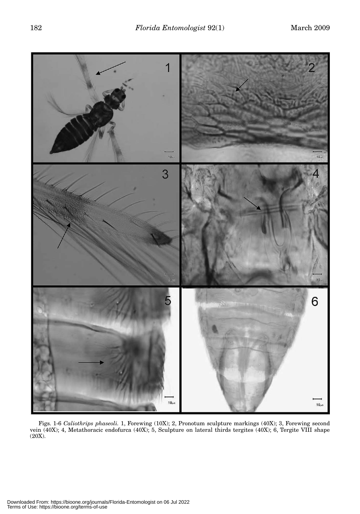

Figs. 1-6 *Caliothrips phaseoli.* 1, Forewing (10X); 2, Pronotum sculpture markings (40X); 3, Forewing second vein (40X); 4, Metathoracic endofurca (40X); 5, Sculpture on lateral thirds tergites (40X); 6, Tergite VIII shape (20X).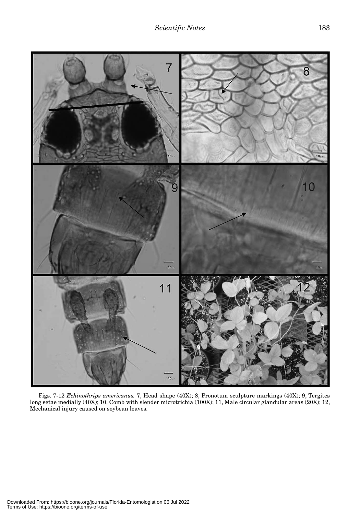

Figs. 7-12 *Echinothrips americanus.* 7, Head shape (40X); 8, Pronotum sculpture markings (40X); 9, Tergites long setae medially (40X); 10, Comb with slender microtrichia (100X); 11, Male circular glandular areas (20X); 12, Mechanical injury caused on soybean leaves.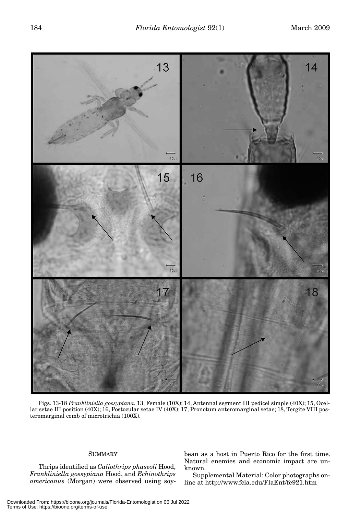

Figs. 13-18 *Frankliniella gossypiana.* 13, Female (10X); 14, Antennal segment III pedicel simple (40X); 15, Ocellar setae III position (40X); 16, Postocular setae IV (40X); 17, Pronotum anteromarginal setae; 18, Tergite VIII posteromarginal comb of microtrichia (100X).

### SUMMARY

Thrips identified as *Caliothrips phaseoli* Hood, *Frankliniella gossypiana* Hood, and *Echinothrips americanus* (Morgan) were observed using soybean as a host in Puerto Rico for the first time. Natural enemies and economic impact are unknown.

Supplemental Material: Color photographs online at http://www.fcla.edu/FlaEnt/fe921.htm